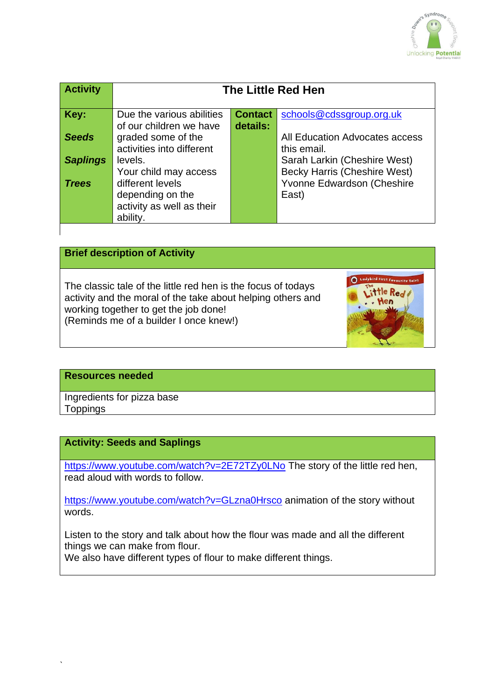

| <b>Activity</b> | <b>The Little Red Hen</b>                                                                              |                            |                                                                            |
|-----------------|--------------------------------------------------------------------------------------------------------|----------------------------|----------------------------------------------------------------------------|
| Key:            | Due the various abilities<br>of our children we have                                                   | <b>Contact</b><br>details: | schools@cdssgroup.org.uk                                                   |
| <b>Seeds</b>    | graded some of the<br>activities into different                                                        |                            | All Education Advocates access<br>this email.                              |
| <b>Saplings</b> | levels.                                                                                                |                            | Sarah Larkin (Cheshire West)                                               |
| <b>Trees</b>    | Your child may access<br>different levels<br>depending on the<br>activity as well as their<br>ability. |                            | <b>Becky Harris (Cheshire West)</b><br>Yvonne Edwardson (Cheshire<br>East) |

### **Brief description of Activity**

The classic tale of the little red hen is the focus of todays activity and the moral of the take about helping others and working together to get the job done! (Reminds me of a builder I once knew!)



#### **Resources needed**

`

Ingredients for pizza base **Toppings** 

#### **Activity: Seeds and Saplings**

<https://www.youtube.com/watch?v=2E72TZy0LNo> The story of the little red hen, read aloud with words to follow.

<https://www.youtube.com/watch?v=GLzna0Hrsco> animation of the story without words.

Listen to the story and talk about how the flour was made and all the different things we can make from flour.

We also have different types of flour to make different things.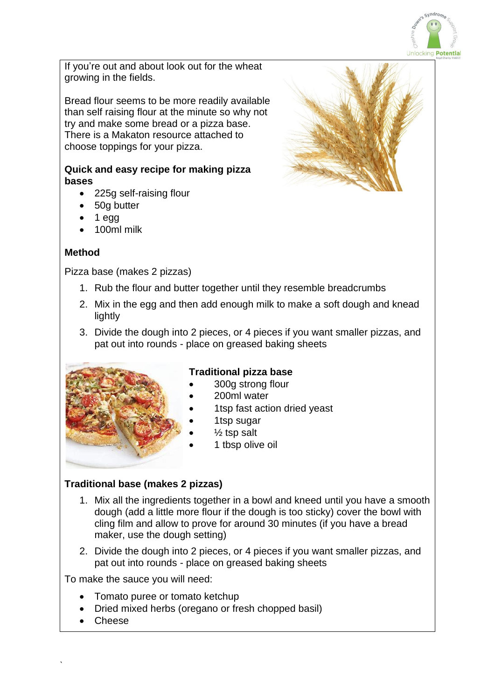

If you're out and about look out for the wheat growing in the fields.

Bread flour seems to be more readily available than self raising flour at the minute so why not try and make some bread or a pizza base. There is a Makaton resource attached to choose toppings for your pizza.

#### **Quick and easy recipe for making pizza bases**

- 225g self-raising flour
- 50g butter
- 1 egg
- 100ml milk

# **Method**

Pizza base (makes 2 pizzas)

- 1. Rub the flour and butter together until they resemble breadcrumbs
- 2. Mix in the egg and then add enough milk to make a soft dough and knead lightly
- 3. Divide the dough into 2 pieces, or 4 pieces if you want smaller pizzas, and pat out into rounds - place on greased baking sheets



# **Traditional pizza base**

- 300g strong flour
- 200ml water
- 1tsp fast action dried yeast
- 1tsp sugar
- $\frac{1}{2}$  tsp salt
- 1 tbsp olive oil

### **Traditional base (makes 2 pizzas)**

- 1. Mix all the ingredients together in a bowl and kneed until you have a smooth dough (add a little more flour if the dough is too sticky) cover the bowl with cling film and allow to prove for around 30 minutes (if you have a bread maker, use the dough setting)
- 2. Divide the dough into 2 pieces, or 4 pieces if you want smaller pizzas, and pat out into rounds - place on greased baking sheets

To make the sauce you will need:

- Tomato puree or tomato ketchup
- Dried mixed herbs (oregano or fresh chopped basil)
- Cheese

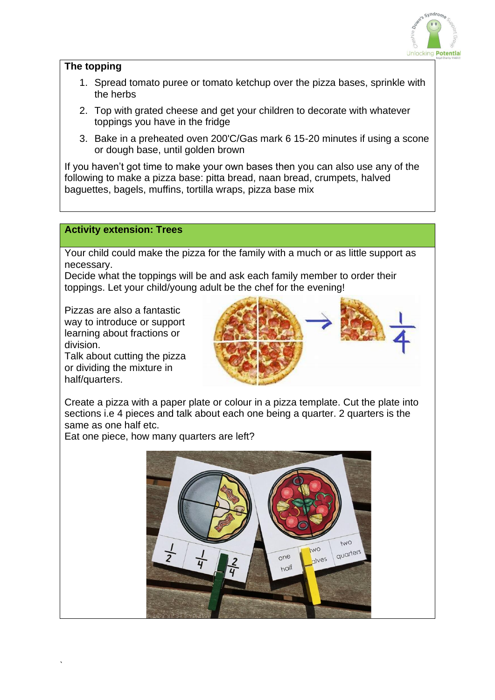

### **The topping**

- 1. Spread tomato puree or tomato ketchup over the pizza bases, sprinkle with the herbs
- 2. Top with grated cheese and get your children to decorate with whatever toppings you have in the fridge
- 3. Bake in a preheated oven 200'C/Gas mark 6 15-20 minutes if using a scone or dough base, until golden brown

If you haven't got time to make your own bases then you can also use any of the following to make a pizza base: pitta bread, naan bread, crumpets, halved baguettes, bagels, muffins, tortilla wraps, pizza base mix

### **Activity extension: Trees**

Your child could make the pizza for the family with a much or as little support as necessary.

Decide what the toppings will be and ask each family member to order their toppings. Let your child/young adult be the chef for the evening!

Pizzas are also a fantastic way to introduce or support learning about fractions or division.

Talk about cutting the pizza or dividing the mixture in half/quarters.

`



Create a pizza with a paper plate or colour in a pizza template. Cut the plate into sections i.e 4 pieces and talk about each one being a quarter. 2 quarters is the same as one half etc.

Eat one piece, how many quarters are left?